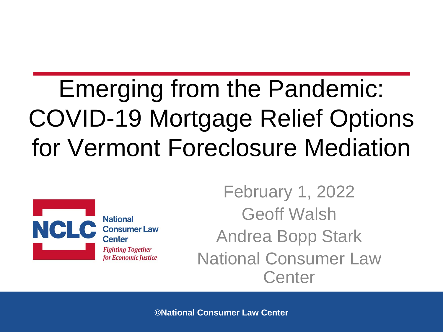### Emerging from the Pandemic: COVID-19 Mortgage Relief Options for Vermont Foreclosure Mediation



**National Consumer Law Center Fighting Together** for Economic Justice

February 1, 2022 Geoff Walsh Andrea Bopp Stark National Consumer Law **Center**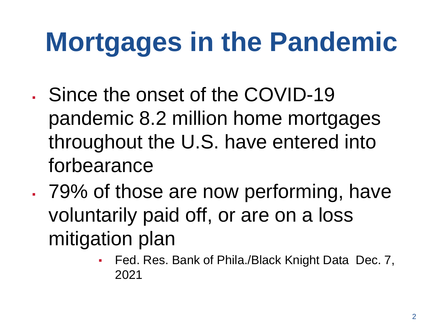# **Mortgages in the Pandemic**

- Since the onset of the COVID-19 pandemic 8.2 million home mortgages throughout the U.S. have entered into forbearance
- . 79% of those are now performing, have voluntarily paid off, or are on a loss mitigation plan
	- Fed. Res. Bank of Phila./Black Knight Data Dec. 7, 2021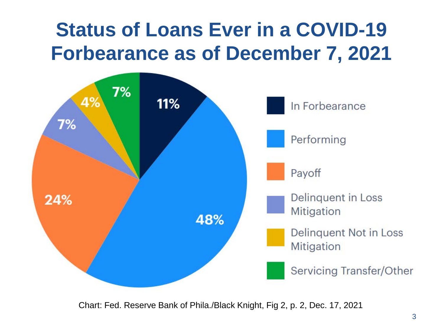#### **Status of Loans Ever in a COVID-19 Forbearance as of December 7, 2021**



Chart: Fed. Reserve Bank of Phila./Black Knight, Fig 2, p. 2, Dec. 17, 2021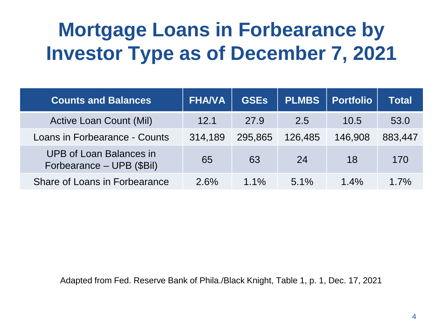#### **Mortgage Loans in Forbearance by Investor Type as of December 7, 2021**

| <b>Counts and Balances</b>                                  | <b>FHA/VA</b> | <b>GSEs</b> | <b>PLMBS</b> | <b>Portfolio</b> | Total   |
|-------------------------------------------------------------|---------------|-------------|--------------|------------------|---------|
| <b>Active Loan Count (Mil)</b>                              | 12.1          | 27.9        | 2.5          | 10.5             | 53.0    |
| Loans in Forbearance - Counts                               | 314,189       | 295,865     | 126,485      | 146,908          | 883,447 |
| <b>UPB of Loan Balances in</b><br>Forbearance - UPB (\$Bil) | 65            | 63          | 24           | 18               | 170     |
| Share of Loans in Forbearance                               | 2.6%          | $1.1\%$     | $5.1\%$      | $1.4\%$          | 1.7%    |

Adapted from Fed. Reserve Bank of Phila./Black Knight, Table 1, p. 1, Dec. 17, 2021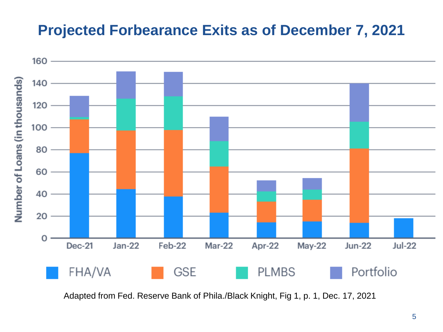#### **Projected Forbearance Exits as of December 7, 2021**



Adapted from Fed. Reserve Bank of Phila./Black Knight, Fig 1, p. 1, Dec. 17, 2021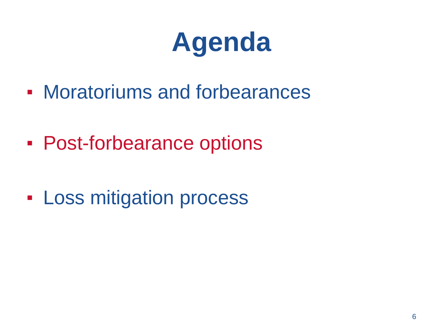# **Agenda**

- Moratoriums and forbearances
- **Post-forbearance options**
- **Loss mitigation process**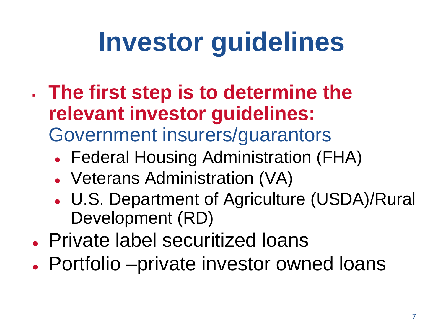# **Investor guidelines**

- **The first step is to determine the relevant investor guidelines:**  Government insurers/guarantors
	- Federal Housing Administration (FHA)
	- Veterans Administration (VA)
	- U.S. Department of Agriculture (USDA)/Rural Development (RD)
- Private label securitized loans
- Portfolio –private investor owned loans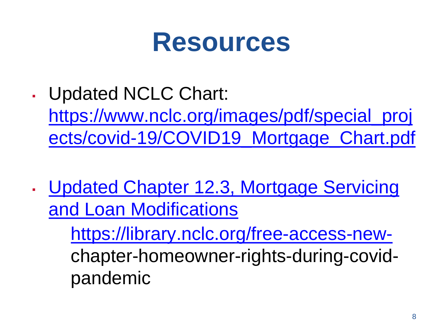#### **Resources**

▪ Updated NCLC Chart:

https://www.nclc.org/images/pdf/special\_proj [ects/covid-19/COVID19\\_Mortgage\\_Chart.pdf](https://www.nclc.org/images/pdf/special_projects/covid-19/COVID19_Mortgage_Chart.pdf)

. Updated Chapter 12.3, Mortgage Servicing and Loan Modifications

> [https://library.nclc.org/free-access-new](https://library.nclc.org/free-access-new-)chapter-homeowner-rights-during-covidpandemic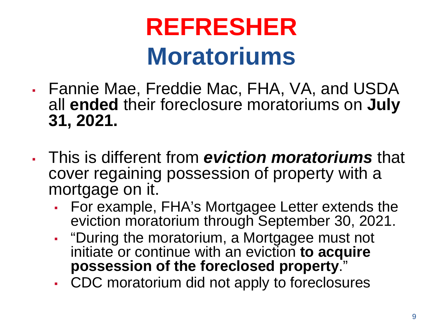#### **REFRESHER Moratoriums**

- Fannie Mae, Freddie Mac, FHA, VA, and USDA all **ended** their foreclosure moratoriums on **July 31, 2021.**
- This is different from *eviction moratoriums* that cover regaining possession of property with a mortgage on it.
	- For example, FHA's Mortgagee Letter extends the eviction moratorium through September 30, 2021.
	- "During the moratorium, a Mortgagee must not initiate or continue with an eviction **to acquire possession of the foreclosed property**."
	- CDC moratorium did not apply to foreclosures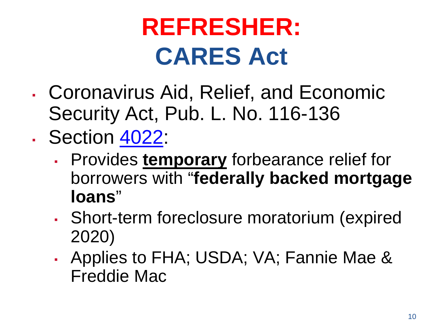### **REFRESHER: CARES Act**

- Coronavirus Aid, Relief, and Economic Security Act, Pub. L. No. 116-136
- Section [4022:](https://library.nclc.org/sec-4022-foreclosure-moratorium-and-consumer-right-request-forbearance)
	- Provides **temporary** forbearance relief for borrowers with "**federally backed mortgage loans**"
	- Short-term foreclosure moratorium (expired 2020)
	- Applies to FHA; USDA; VA; Fannie Mae & Freddie Mac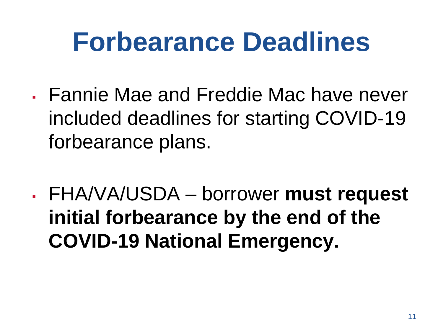### **Forbearance Deadlines**

- **Eannie Mae and Freddie Mac have never** included deadlines for starting COVID-19 forbearance plans.
- FHA/VA/USDA borrower **must request initial forbearance by the end of the COVID-19 National Emergency.**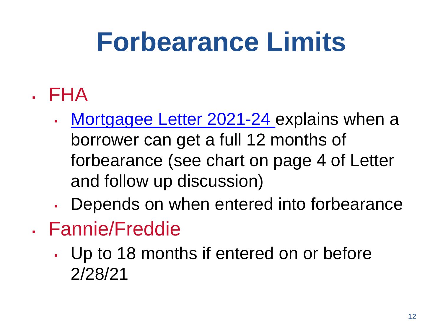# **Forbearance Limits**

- . FHA
	- [Mortgagee Letter 2021-24 e](https://www.hud.gov/sites/dfiles/OCHCO/documents/2021-24hsngml.pdf)xplains when a borrower can get a full 12 months of forbearance (see chart on page 4 of Letter and follow up discussion)
	- Depends on when entered into forbearance
- Fannie/Freddie
	- Up to 18 months if entered on or before 2/28/21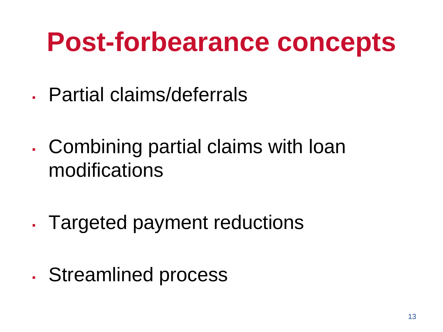### **Post-forbearance concepts**

- . Partial claims/deferrals
- . Combining partial claims with loan modifications
- . Targeted payment reductions
- Streamlined process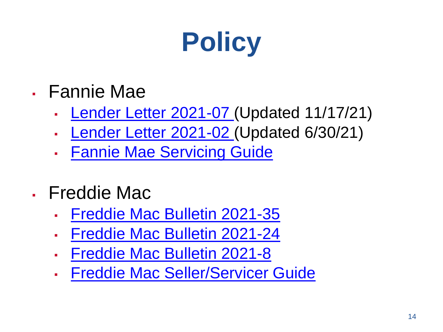

- Fannie Mae
	- [Lender Letter 2021-07](https://singlefamily.fanniemae.com/media/25121/display) (Updated 11/17/21)
	- [Lender Letter 2021-02](https://singlefamily.fanniemae.com/media/24891/display) (Updated 6/30/21)
	- **Eannie Mae Servicing Guide**
- Freddie Mac
	- [Freddie Mac Bulletin 2021-35](https://guide.freddiemac.com/app/guide/bulletin/2021-35)
	- [Freddie Mac Bulletin 2021-24](https://guide.freddiemac.com/app/guide/bulletin/2021-24)
	- [Freddie Mac Bulletin 2021-8](https://guide.freddiemac.com/app/guide/bulletin/2021-8)
	- **· [Freddie Mac Seller/Servicer Guide](https://guide.freddiemac.com/app/guide/home)**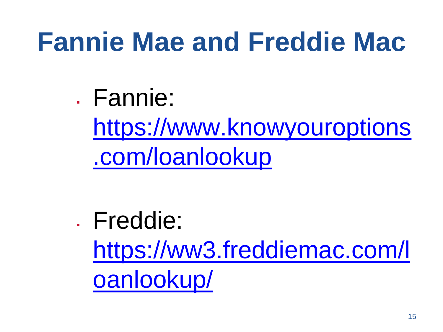### **Fannie Mae and Freddie Mac**

. Fannie:

[https://www.knowyouroptions](https://www.knowyouroptions.com/loanlookup) .com/loanlookup

. Freddie: [https://ww3.freddiemac.com/l](https://ww3.freddiemac.com/loanlookup/) oanlookup/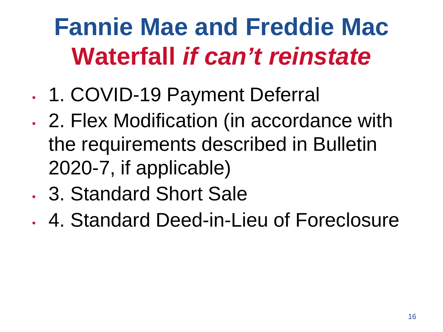### **Fannie Mae and Freddie Mac Waterfall** *if can't reinstate*

- 1. COVID-19 Payment Deferral
- 2. Flex Modification (in accordance with the requirements described in Bulletin 2020-7, if applicable)
- . 3. Standard Short Sale
- 4. Standard Deed-in-Lieu of Foreclosure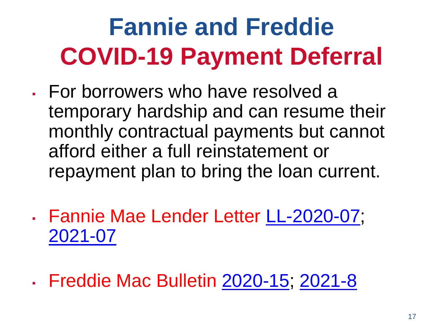# **Fannie and Freddie COVID-19 Payment Deferral**

- For borrowers who have resolved a temporary hardship and can resume their monthly contractual payments but cannot afford either a full reinstatement or repayment plan to bring the loan current.
- Fannie Mae Lender Letter [LL-2020-07;](https://singlefamily.fanniemae.com/media/22916/display) [2021-07](https://singlefamily.fanniemae.com/media/25121/display)
- Freddie Mac Bulletin [2020-15;](https://guide.freddiemac.com/app/guide/bulletin/2020-15) [2021-8](https://guide.freddiemac.com/app/guide/bulletin/2021-8)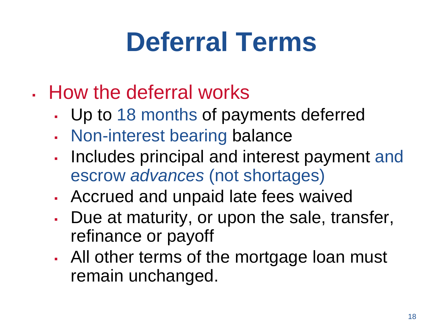# **Deferral Terms**

- How the deferral works
	- Up to 18 months of payments deferred
	- . Non-interest bearing balance
	- Includes principal and interest payment and escrow *advances* (not shortages)
	- Accrued and unpaid late fees waived
	- Due at maturity, or upon the sale, transfer, refinance or payoff
	- All other terms of the mortgage loan must remain unchanged.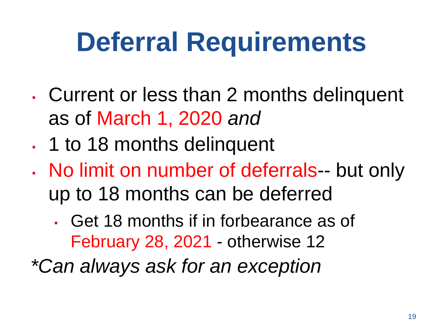# **Deferral Requirements**

- Current or less than 2 months delinquent as of March 1, 2020 *and*
- . 1 to 18 months delinquent
- . No limit on number of deferrals-- but only up to 18 months can be deferred
	- Get 18 months if in forbearance as of February 28, 2021 - otherwise 12

*\*Can always ask for an exception*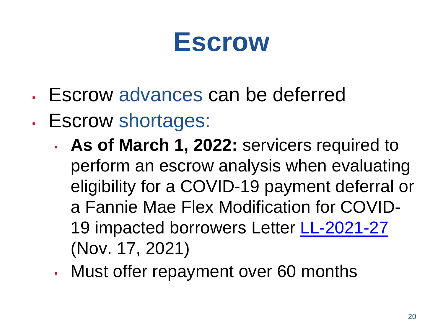#### **Escrow**

- . Escrow advances can be deferred
- Escrow shortages:
	- **As of March 1, 2022:** servicers required to perform an escrow analysis when evaluating eligibility for a COVID-19 payment deferral or a Fannie Mae Flex Modification for COVID-19 impacted borrowers Letter [LL-2021-27](https://www.tenaco.com/wp-content/uploads/2021/11/Fannie-Mae-Update-to-Lender-Letter-2021-07-11-17-21.pdf) (Nov. 17, 2021)
	- Must offer repayment over 60 months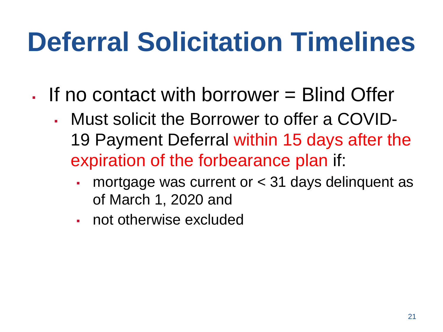# **Deferral Solicitation Timelines**

- $\blacksquare$  If no contact with borrower  $=$  Blind Offer
	- Must solicit the Borrower to offer a COVID-19 Payment Deferral within 15 days after the expiration of the forbearance plan if:
		- mortgage was current or  $<$  31 days delinquent as of March 1, 2020 and
		- not otherwise excluded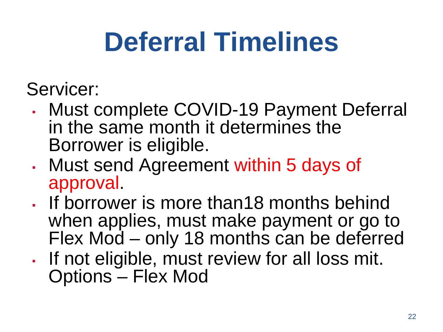# **Deferral Timelines**

Servicer:

- Must complete COVID-19 Payment Deferral in the same month it determines the Borrower is eligible.
- Must send Agreement within 5 days of approval.
- If borrower is more than18 months behind when applies, must make payment or go to Flex Mod – only 18 months can be deferred
- If not eligible, must review for all loss mit. Options – Flex Mod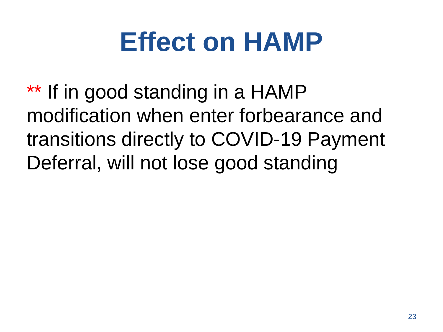# **Effect on HAMP**

\*\* If in good standing in a HAMP modification when enter forbearance and transitions directly to COVID-19 Payment Deferral, will not lose good standing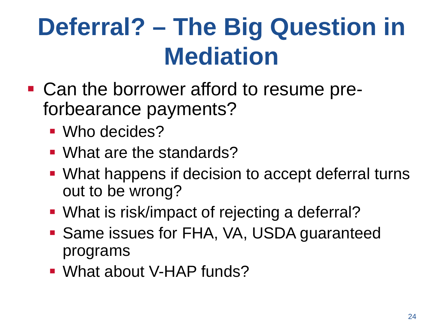### **Deferral? – The Big Question in Mediation**

- Can the borrower afford to resume preforbearance payments?
	- Who decides?
	- What are the standards?
	- What happens if decision to accept deferral turns out to be wrong?
	- **What is risk/impact of rejecting a deferral?**
	- **Same issues for FHA, VA, USDA guaranteed** programs
	- What about V-HAP funds?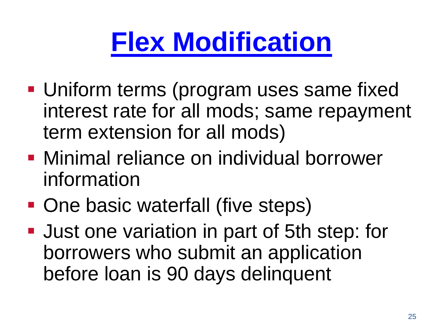# **[Flex Modification](https://servicing-guide.fanniemae.com/THE-SERVICING-GUIDE/Part-D-Providing-Solutions-to-a-Borrower/Subpart-D2-Assisting-a-Borrower-Who-is-Facing-Default-or/Chapter-D2-3-Fannie-Mae-s-Home-Retention-and-Liquidation/Section-D2-3-2-Home-Retention-Workout-Options/D2-3-2-06-Fannie-Mae-Flex-Modification/1042575201/D2-3-2-06-Fannie-Mae-Flex-Modification-09-18-2018.htm)**

- **Uniform terms (program uses same fixed** interest rate for all mods; same repayment term extension for all mods)
- **Minimal reliance on individual borrower** information
- One basic waterfall (five steps)
- **Just one variation in part of 5th step: for** borrowers who submit an application before loan is 90 days delinquent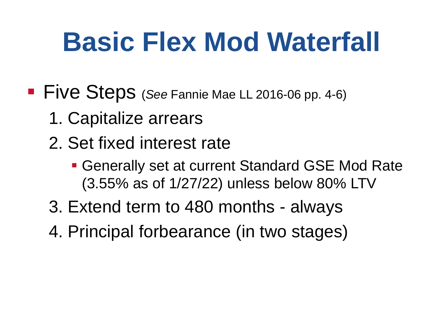# **Basic Flex Mod Waterfall**

**Five Steps** (*See* Fannie Mae LL 2016-06 pp. 4-6)

- 1. Capitalize arrears
- 2. Set fixed interest rate
	- Generally set at current Standard GSE Mod Rate (3.55% as of 1/27/22) unless below 80% LTV
- 3. Extend term to 480 months always
- 4. Principal forbearance (in two stages)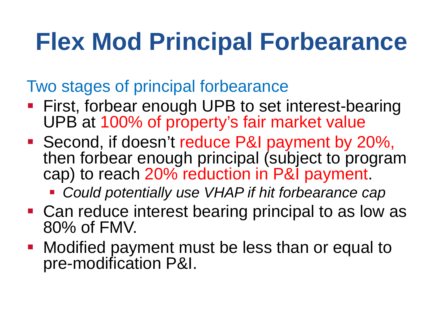#### **Flex Mod Principal Forbearance**

Two stages of principal forbearance

- **First, forbear enough UPB to set interest-bearing** UPB at 100% of property's fair market value
- Second, if doesn't reduce P&I payment by 20%, then forbear enough principal (subject to program cap) to reach 20% reduction in P&I payment.
	- *Could potentially use VHAP if hit forbearance cap*
- Can reduce interest bearing principal to as low as 80% of FMV.
- **Modified payment must be less than or equal to** pre-modification P&I.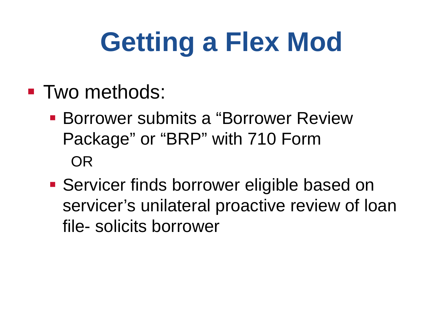# **Getting a Flex Mod**

- **Two methods:** 
	- Borrower submits a "Borrower Review Package" or "BRP" with 710 Form OR
	- **Servicer finds borrower eligible based on** servicer's unilateral proactive review of loan file- solicits borrower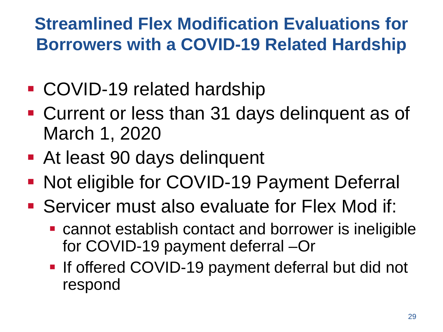#### **Streamlined Flex Modification Evaluations for Borrowers with a COVID-19 Related Hardship**

- COVID-19 related hardship
- Current or less than 31 days delinquent as of March 1, 2020
- At least 90 days delinquent
- **Not eligible for COVID-19 Payment Deferral**
- Servicer must also evaluate for Flex Mod if:
	- cannot establish contact and borrower is ineligible for COVID-19 payment deferral –Or
	- **If offered COVID-19 payment deferral but did not** respond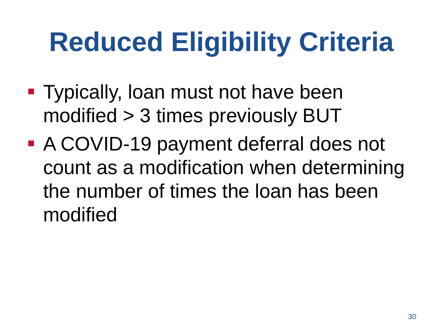# **Reduced Eligibility Criteria**

- **Typically, loan must not have been** modified > 3 times previously BUT
- A COVID-19 payment deferral does not count as a modification when determining the number of times the loan has been modified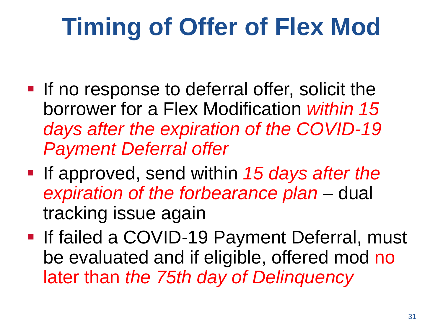### **Timing of Offer of Flex Mod**

- **If no response to deferral offer, solicit the** borrower for a Flex Modification *within 15 days after the expiration of the COVID-19 Payment Deferral offer*
- **If approved, send within 15 days after the** *expiration of the forbearance plan* – dual tracking issue again
- **If failed a COVID-19 Payment Deferral, must** be evaluated and if eligible, offered mod no later than *the 75th day of Delinquency*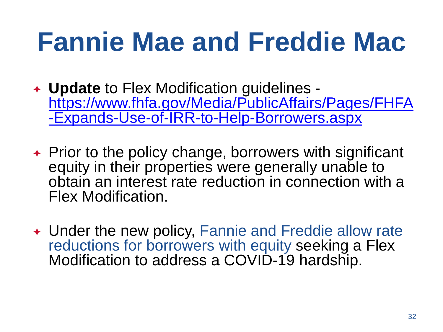## **Fannie Mae and Freddie Mac**

- **Update** to Flex Modification guidelines [https://www.fhfa.gov/Media/PublicAffairs/Pages/FHFA](https://www.fhfa.gov/Media/PublicAffairs/Pages/FHFA-Expands-Use-of-IRR-to-Help-Borrowers.aspx) -Expands-Use-of-IRR-to-Help-Borrowers.aspx
- $\rightarrow$  Prior to the policy change, borrowers with significant equity in their properties were generally unable to obtain an interest rate reduction in connection with a Flex Modification.
- Under the new policy, Fannie and Freddie allow rate reductions for borrowers with equity seeking a Flex Modification to address a COVID-19 hardship.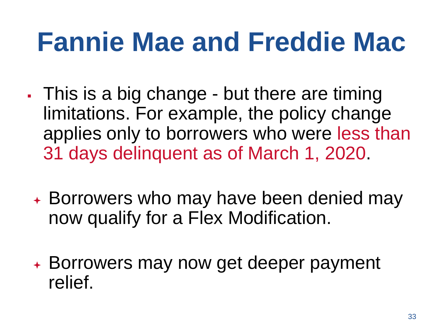## **Fannie Mae and Freddie Mac**

- . This is a big change but there are timing limitations. For example, the policy change applies only to borrowers who were less than 31 days delinquent as of March 1, 2020.
	- Borrowers who may have been denied may now qualify for a Flex Modification.
	- Borrowers may now get deeper payment relief.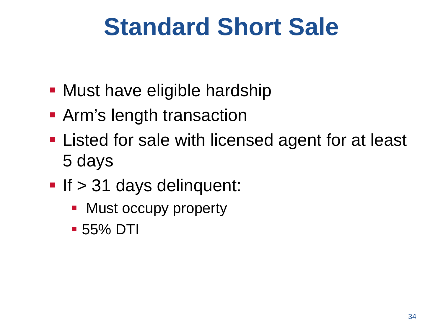#### **Standard Short Sale**

- **Must have eligible hardship**
- **Arm's length transaction**
- **Example 1** Listed for sale with licensed agent for at least 5 days
- If  $>$  31 days delinquent:
	- Must occupy property
	- 55% DTI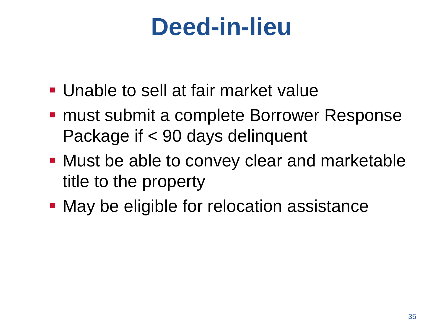#### **Deed-in-lieu**

- Unable to sell at fair market value
- **must submit a complete Borrower Response** Package if < 90 days delinquent
- **Must be able to convey clear and marketable** title to the property
- **May be eligible for relocation assistance**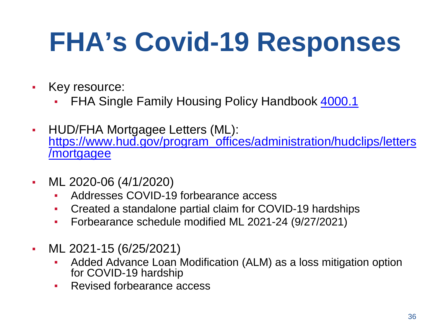# **FHA's Covid-19 Responses**

- Key resource:
	- **FHA Single Family Housing Policy Handbook [4000.1](https://www.hud.gov/program_offices/administration/hudclips/handbooks/hsgh)**
- HUD/FHA Mortgagee Letters (ML): [https://www.hud.gov/program\\_offices/administration/hudclips/letters](https://www.hud.gov/program_offices/administration/hudclips/letters/mortgagee) /mortgagee
- ML 2020-06 (4/1/2020)
	- Addresses COVID-19 forbearance access
	- Created a standalone partial claim for COVID-19 hardships
	- Forbearance schedule modified ML 2021-24 (9/27/2021)
- ML 2021-15 (6/25/2021)
	- Added Advance Loan Modification (ALM) as a loss mitigation option for COVID-19 hardship
	- Revised forbearance access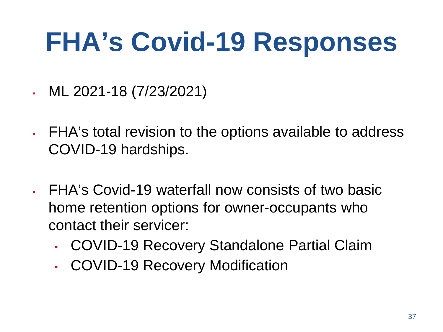#### **FHA's Covid-19 Responses**

- ML 2021-18 (7/23/2021)
- FHA's total revision to the options available to address COVID-19 hardships.
- FHA's Covid-19 waterfall now consists of two basic home retention options for owner-occupants who contact their servicer:
	- COVID-19 Recovery Standalone Partial Claim
	- COVID-19 Recovery Modification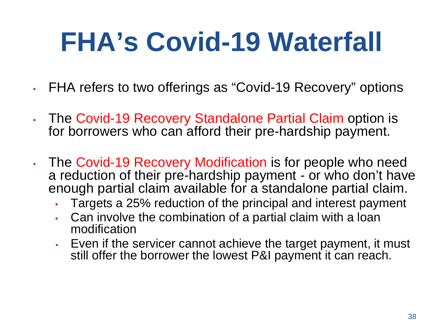# **FHA's Covid-19 Waterfall**

- . FHA refers to two offerings as "Covid-19 Recovery" options
- The Covid-19 Recovery Standalone Partial Claim option is for borrowers who can afford their pre-hardship payment.
- . The Covid-19 Recovery Modification is for people who need a reduction of their pre-hardship payment - or who don't have enough partial claim available for a standalone partial claim.
	- Targets a 25% reduction of the principal and interest payment
	- Can involve the combination of a partial claim with a loan modification
	- Even if the servicer cannot achieve the target payment, it must still offer the borrower the lowest P&I payment it can reach.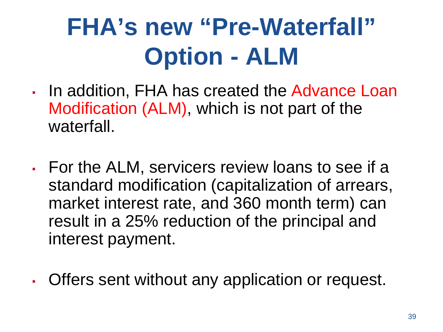#### **FHA's new "Pre-Waterfall" Option - ALM**

- In addition, FHA has created the Advance Loan Modification (ALM), which is not part of the waterfall.
- For the ALM, servicers review loans to see if a standard modification (capitalization of arrears, market interest rate, and 360 month term) can result in a 25% reduction of the principal and interest payment.
- Offers sent without any application or request.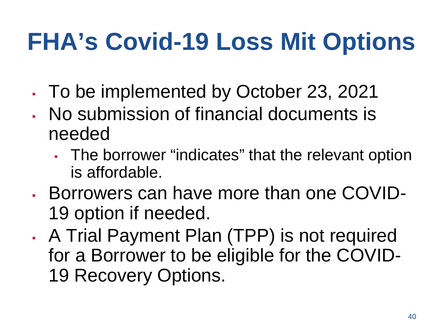#### **FHA's Covid-19 Loss Mit Options**

- To be implemented by October 23, 2021
- No submission of financial documents is needed
	- **The borrower "indicates" that the relevant option** is affordable.
- Borrowers can have more than one COVID-19 option if needed.
- . A Trial Payment Plan (TPP) is not required for a Borrower to be eligible for the COVID-19 Recovery Options.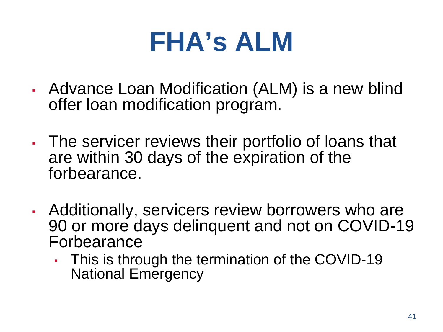- Advance Loan Modification (ALM) is a new blind offer loan modification program.
- The servicer reviews their portfolio of loans that are within 30 days of the expiration of the forbearance.
- Additionally, servicers review borrowers who are 90 or more days delinquent and not on COVID-19 Forbearance
	- This is through the termination of the COVID-19 National Emergency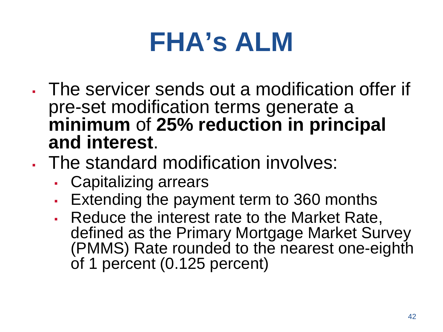- The servicer sends out a modification offer if pre-set modification terms generate a **minimum** of **25% reduction in principal and interest**.
- The standard modification involves:
	- Capitalizing arrears
	- **Extending the payment term to 360 months**
	- **Reduce the interest rate to the Market Rate,** defined as the Primary Mortgage Market Survey (PMMS) Rate rounded to the nearest one-eighth of 1 percent (0.125 percent)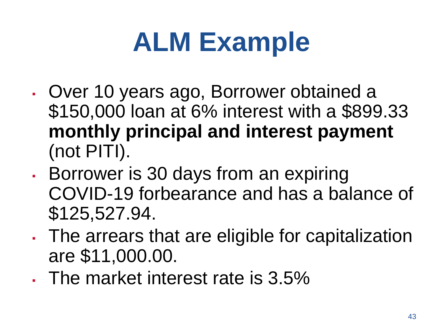# **ALM Example**

- Over 10 years ago, Borrower obtained a \$150,000 loan at 6% interest with a \$899.33 **monthly principal and interest payment** (not PITI).
- **Borrower is 30 days from an expiring** COVID-19 forbearance and has a balance of \$125,527.94.
- . The arrears that are eligible for capitalization are \$11,000.00.
- . The market interest rate is 3.5%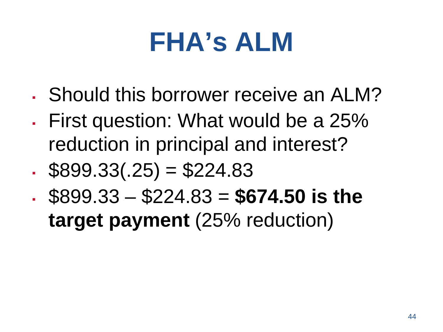- Should this borrower receive an ALM?
- First question: What would be a 25% reduction in principal and interest?
- $\text{\$899.33(.25) = $224.83$}$
- $$899.33 $224.83 = $674.50$  is the

**target payment** (25% reduction)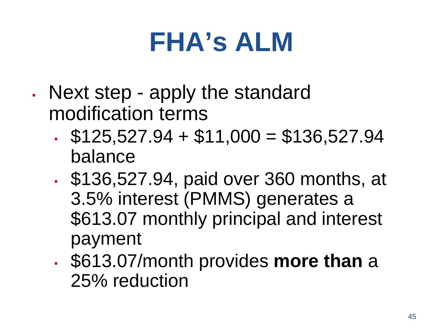- Next step apply the standard modification terms
	- $\text{\textdegree}$  \$125,527.94 + \$11,000 = \$136,527.94 balance
	- \$136,527.94, paid over 360 months, at 3.5% interest (PMMS) generates a \$613.07 monthly principal and interest payment
	- \$613.07/month provides **more than** a 25% reduction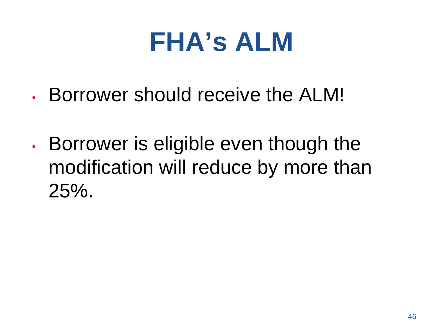- Borrower should receive the ALM!
- **Borrower is eligible even though the** modification will reduce by more than 25%.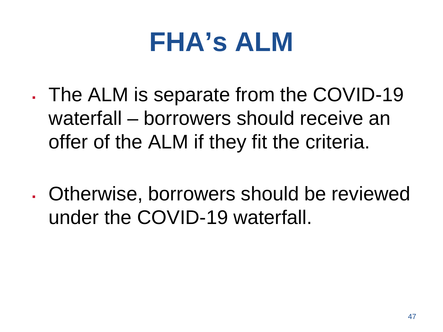- The ALM is separate from the COVID-19 waterfall – borrowers should receive an offer of the ALM if they fit the criteria.
- Otherwise, borrowers should be reviewed under the COVID-19 waterfall.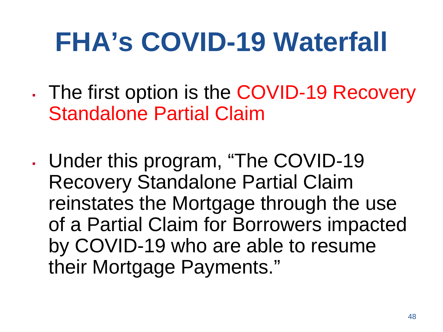- . The first option is the COVID-19 Recovery Standalone Partial Claim
- Under this program, "The COVID-19 Recovery Standalone Partial Claim reinstates the Mortgage through the use of a Partial Claim for Borrowers impacted by COVID-19 who are able to resume their Mortgage Payments."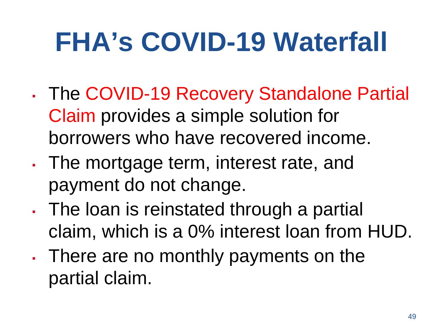- . The COVID-19 Recovery Standalone Partial Claim provides a simple solution for borrowers who have recovered income.
- . The mortgage term, interest rate, and payment do not change.
- . The loan is reinstated through a partial claim, which is a 0% interest loan from HUD.
- There are no monthly payments on the partial claim.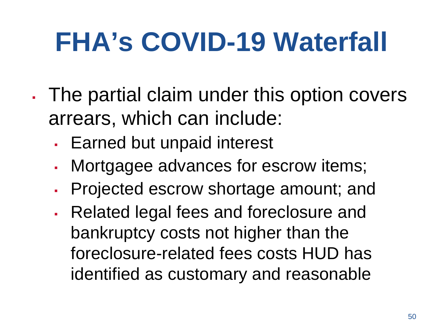- . The partial claim under this option covers arrears, which can include:
	- Earned but unpaid interest
	- **Mortgagee advances for escrow items;**
	- Projected escrow shortage amount; and
	- Related legal fees and foreclosure and bankruptcy costs not higher than the foreclosure-related fees costs HUD has identified as customary and reasonable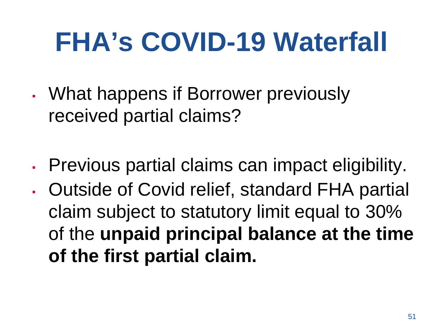- What happens if Borrower previously received partial claims?
- Previous partial claims can impact eligibility.
- . Outside of Covid relief, standard FHA partial claim subject to statutory limit equal to 30% of the **unpaid principal balance at the time of the first partial claim.**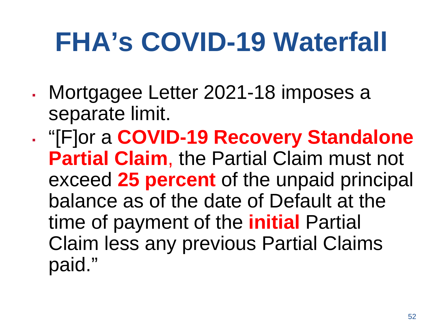- Mortgagee Letter 2021-18 imposes a separate limit.
- "[F]or a **COVID-19 Recovery Standalone Partial Claim**, the Partial Claim must not exceed **25 percent** of the unpaid principal balance as of the date of Default at the time of payment of the **initial** Partial Claim less any previous Partial Claims paid."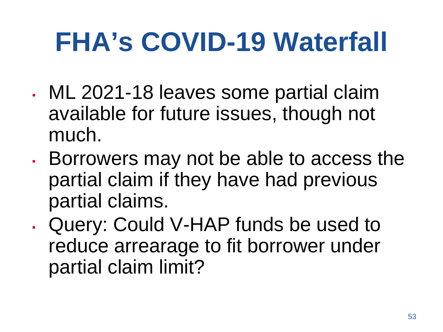- . ML 2021-18 leaves some partial claim available for future issues, though not much.
- Borrowers may not be able to access the partial claim if they have had previous partial claims.
- Query: Could V-HAP funds be used to reduce arrearage to fit borrower under partial claim limit?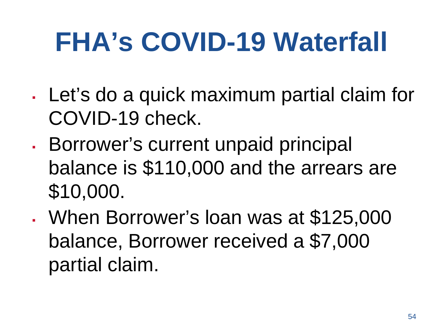- . Let's do a quick maximum partial claim for COVID-19 check.
- **Borrower's current unpaid principal** balance is \$110,000 and the arrears are \$10,000.
- When Borrower's loan was at \$125,000 balance, Borrower received a \$7,000 partial claim.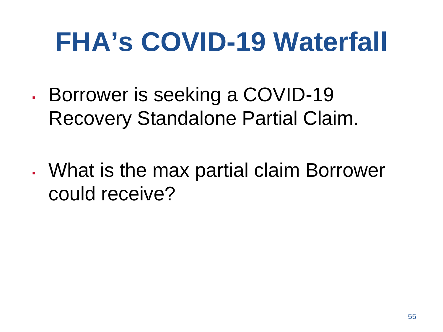- Borrower is seeking a COVID-19 Recovery Standalone Partial Claim.
- What is the max partial claim Borrower could receive?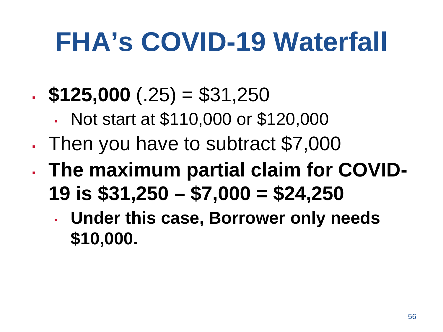- $\textbf{. $125,000}$  (.25) = \$31,250
	- Not start at \$110,000 or \$120,000
- . Then you have to subtract \$7,000
- **The maximum partial claim for COVID-19 is \$31,250 – \$7,000 = \$24,250**
	- **Under this case, Borrower only needs \$10,000.**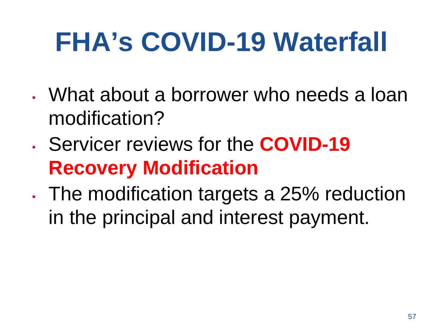- What about a borrower who needs a loan modification?
- Servicer reviews for the **COVID-19 Recovery Modification**
- . The modification targets a 25% reduction in the principal and interest payment.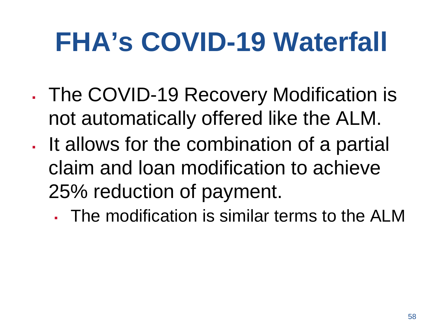- The COVID-19 Recovery Modification is not automatically offered like the ALM.
- It allows for the combination of a partial claim and loan modification to achieve 25% reduction of payment.

▪ The modification is similar terms to the ALM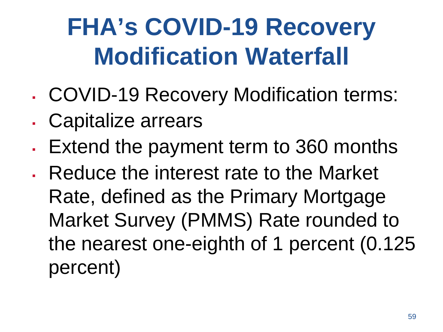#### **FHA's COVID-19 Recovery Modification Waterfall**

- COVID-19 Recovery Modification terms:
- . Capitalize arrears
- . Extend the payment term to 360 months
- . Reduce the interest rate to the Market Rate, defined as the Primary Mortgage Market Survey (PMMS) Rate rounded to the nearest one-eighth of 1 percent (0.125 percent)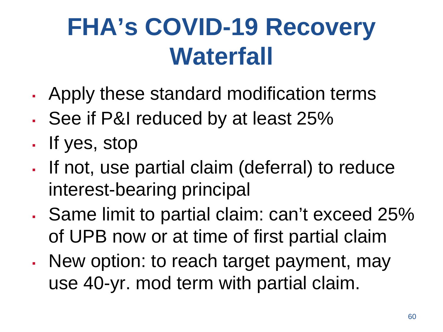#### **FHA's COVID-19 Recovery Waterfall**

- Apply these standard modification terms
- See if P&I reduced by at least 25%
- If yes, stop
- If not, use partial claim (deferral) to reduce interest-bearing principal
- Same limit to partial claim: can't exceed 25% of UPB now or at time of first partial claim
- New option: to reach target payment, may use 40-yr. mod term with partial claim.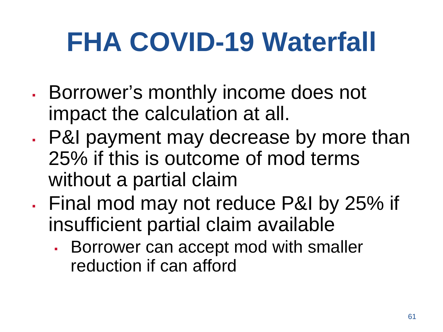- Borrower's monthly income does not impact the calculation at all.
- . P&I payment may decrease by more than 25% if this is outcome of mod terms without a partial claim
- Final mod may not reduce P&I by 25% if insufficient partial claim available
	- **Borrower can accept mod with smaller** reduction if can afford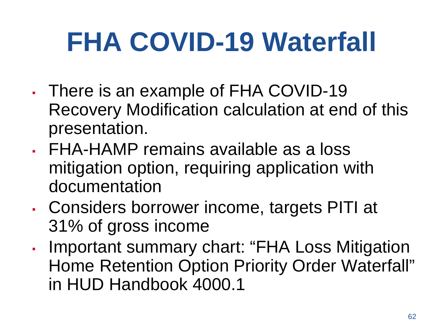- There is an example of FHA COVID-19 Recovery Modification calculation at end of this presentation.
- FHA-HAMP remains available as a loss mitigation option, requiring application with documentation
- Considers borrower income, targets PITI at 31% of gross income
- Important summary chart: "FHA Loss Mitigation Home Retention Option Priority Order Waterfall" in HUD Handbook 4000.1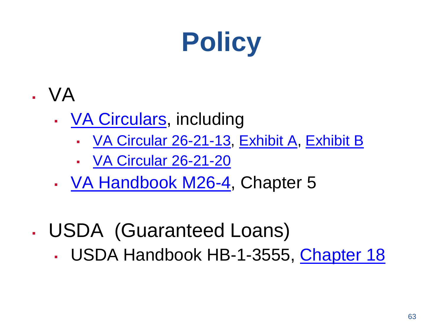

- VA
	- [VA Circulars,](https://www.benefits.va.gov/homeloans/resources_circulars.asp) including
		- [VA Circular 26-21-13](https://www.benefits.va.gov/HOMELOANS/documents/circulars/26_21_13.pdf), [Exhibit A,](https://www.benefits.va.gov/HOMELOANS/documents/circulars/26_21_13_exhibita.pdf) [Exhibit B](https://www.benefits.va.gov/HOMELOANS/documents/circulars/26_21_13_exhibitb.pdf)
		- **[VA Circular 26-21-20](https://www.benefits.va.gov/HOMELOANS/documents/circulars/26_21_20.pdf)**
	- [VA Handbook M26-4](https://www.benefits.va.gov/WARMS/M26_4.asp), Chapter 5
- . USDA (Guaranteed Loans)
	- USDA Handbook HB-1-3555, [Chapter 18](https://www.rd.usda.gov/sites/default/files/3555-1chapter18.pdf)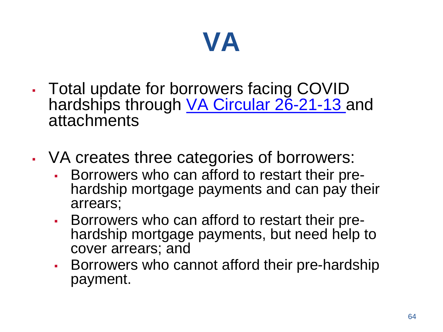#### **VA**

- Total update for borrowers facing COVID hardships through [VA Circular 26-21-13](https://www.benefits.va.gov/HOMELOANS/documents/circulars/26_21_13.pdf) and attachments
- VA creates three categories of borrowers:
	- **Borrowers who can afford to restart their pre-** hardship mortgage payments and can pay their arrears;
	- Borrowers who can afford to restart their pre- hardship mortgage payments, but need help to cover arrears; and
	- **Borrowers who cannot afford their pre-hardship** payment.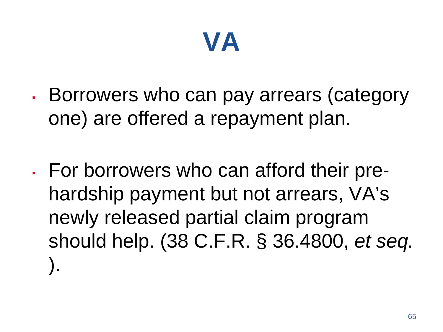

- Borrowers who can pay arrears (category one) are offered a repayment plan.
- For borrowers who can afford their prehardship payment but not arrears, VA's newly released partial claim program should help. (38 C.F.R. § 36.4800, *et seq.*  ).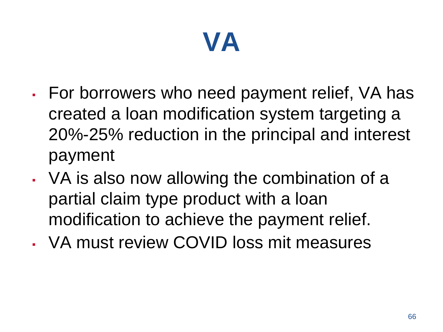#### **VA**

- For borrowers who need payment relief, VA has created a loan modification system targeting a 20%-25% reduction in the principal and interest payment
- VA is also now allowing the combination of a partial claim type product with a loan modification to achieve the payment relief.
- VA must review COVID loss mit measures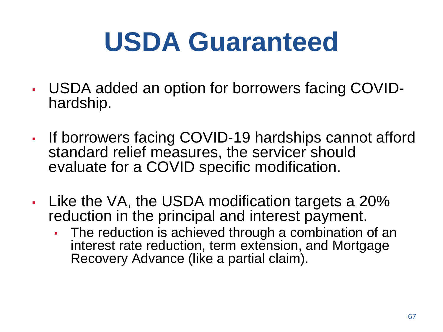# **USDA Guaranteed**

- USDA added an option for borrowers facing COVID- hardship.
- If borrowers facing COVID-19 hardships cannot afford standard relief measures, the servicer should evaluate for a COVID specific modification.
- $\blacksquare$  Like the VA, the USDA modification targets a 20% reduction in the principal and interest payment.
	- The reduction is achieved through a combination of an interest rate reduction, term extension, and Mortgage Recovery Advance (like a partial claim).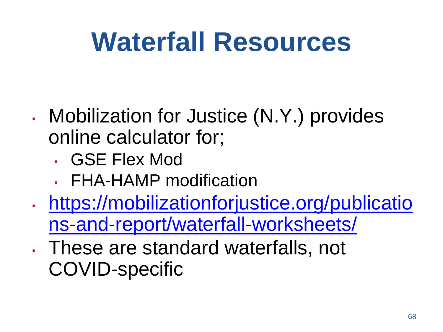#### **Waterfall Resources**

- . Mobilization for Justice (N.Y.) provides online calculator for;
	- GSE Flex Mod
	- FHA-HAMP modification
- [https://mobilizationforjustice.org/publicatio](https://mobilizationforjustice.org/publications-and-report/waterfall-worksheets/) ns-and-report/waterfall-worksheets/
- These are standard waterfalls, not COVID-specific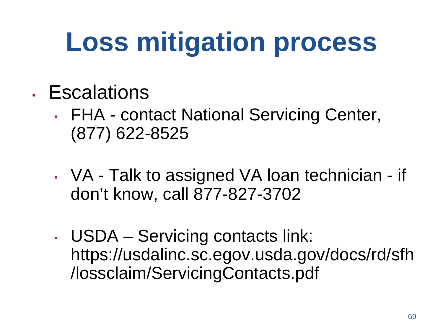# **Loss mitigation process**

- Escalations
	- FHA contact National Servicing Center, (877) 622-8525
	- VA Talk to assigned VA loan technician if don't know, call 877-827-3702
	- USDA Servicing contacts link: https://usdalinc.sc.egov.usda.gov/docs/rd/sfh /lossclaim/ServicingContacts.pdf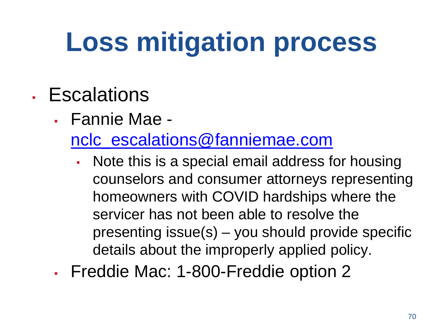# **Loss mitigation process**

#### ▪ Escalations

▪ Fannie Mae -

[nclc\\_escalations@fanniemae.com](mailto:nclc_escalations@fanniemae.com)

- Note this is a special email address for housing counselors and consumer attorneys representing homeowners with COVID hardships where the servicer has not been able to resolve the presenting issue(s) – you should provide specific details about the improperly applied policy.
- Freddie Mac: 1-800-Freddie option 2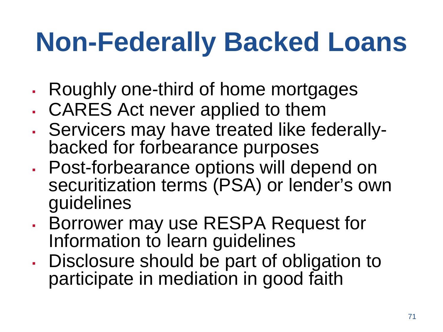#### **Non-Federally Backed Loans**

- Roughly one-third of home mortgages
- CARES Act never applied to them
- Servicers may have treated like federally- backed for forbearance purposes
- Post-forbearance options will depend on securitization terms<sup>'</sup> (PSA) or lender's own guidelines
- Borrower may use RESPA Request for Information to learn guidelines
- Disclosure should be part of obligation to participate in mediation in good faith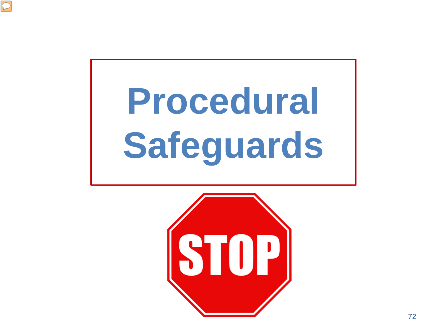

# **Procedural Safeguards**

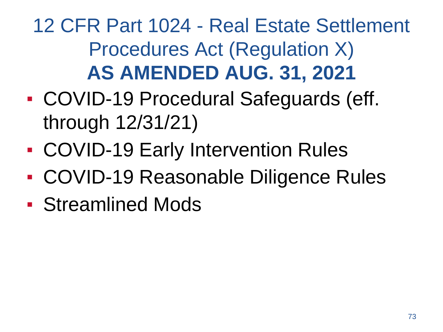12 CFR Part 1024 - Real Estate Settlement Procedures Act (Regulation X) **AS AMENDED AUG. 31, 2021**

- COVID-19 Procedural Safeguards (eff. through 12/31/21)
- COVID-19 Early Intervention Rules
- COVID-19 Reasonable Diligence Rules
- Streamlined Mods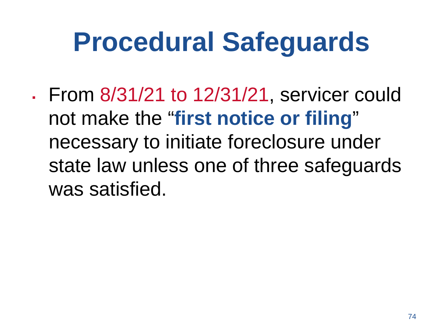# **Procedural Safeguards**

▪ From 8/31/21 to 12/31/21, servicer could not make the "**first notice or filing**" necessary to initiate foreclosure under state law unless one of three safeguards was satisfied.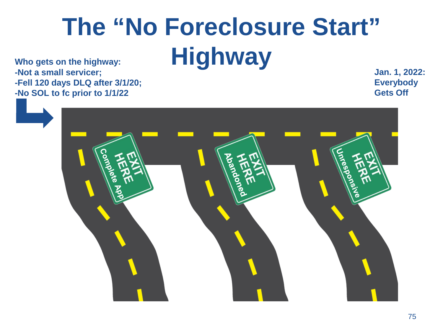# **The "No Foreclosure Start" Highway**

**Who gets on the highway: -Not a small servicer; -Fell 120 days DLQ after 3/1/20; -No SOL to fc prior to 1/1/22**

**Jan. 1, 2022: Everybody Gets Off**

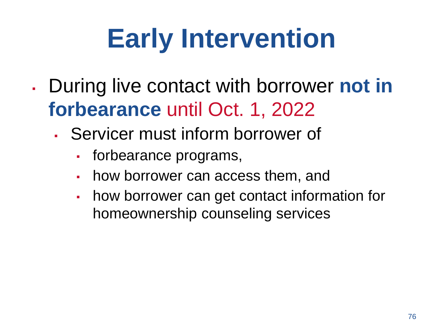# **Early Intervention**

- During live contact with borrower **not in forbearance** until Oct. 1, 2022
	- Servicer must inform borrower of
		- forbearance programs,
		- how borrower can access them, and
		- how borrower can get contact information for homeownership counseling services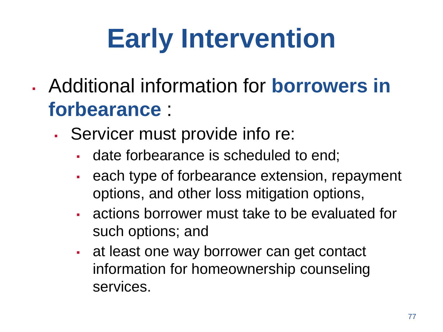# **Early Intervention**

- Additional information for **borrowers in forbearance** :
	- Servicer must provide info re:
		- date forbearance is scheduled to end;
		- each type of forbearance extension, repayment options, and other loss mitigation options,
		- actions borrower must take to be evaluated for such options; and
		- at least one way borrower can get contact information for homeownership counseling services.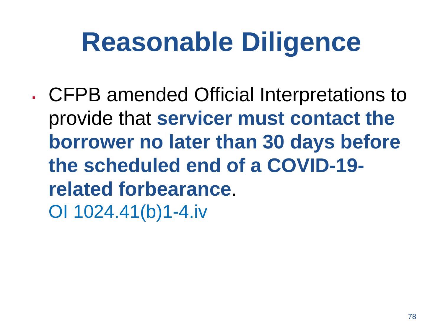# **Reasonable Diligence**

▪ CFPB amended Official Interpretations to provide that **servicer must contact the borrower no later than 30 days before the scheduled end of a COVID-19 related forbearance**. OI 1024.41(b)1-4.iv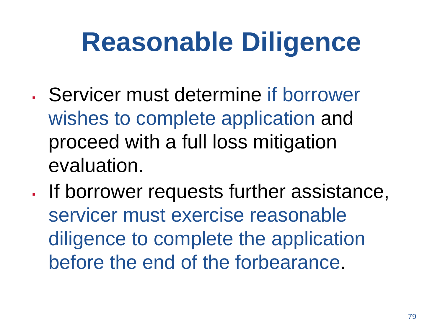# **Reasonable Diligence**

- Servicer must determine if borrower wishes to complete application and proceed with a full loss mitigation evaluation.
- . If borrower requests further assistance, servicer must exercise reasonable diligence to complete the application before the end of the forbearance.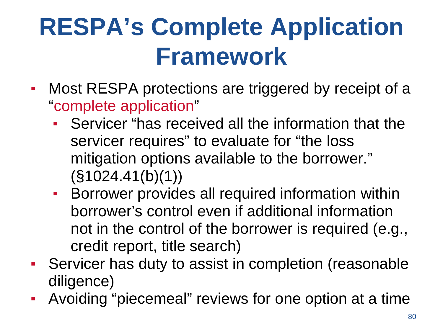## **RESPA's Complete Application Framework**

- Most RESPA protections are triggered by receipt of a "complete application"
	- Servicer "has received all the information that the servicer requires" to evaluate for "the loss mitigation options available to the borrower."  $(S1024.41(b)(1))$
	- **EXECT:** Borrower provides all required information within borrower's control even if additional information not in the control of the borrower is required (e.g., credit report, title search)
- Servicer has duty to assist in completion (reasonable diligence)
- Avoiding "piecemeal" reviews for one option at a time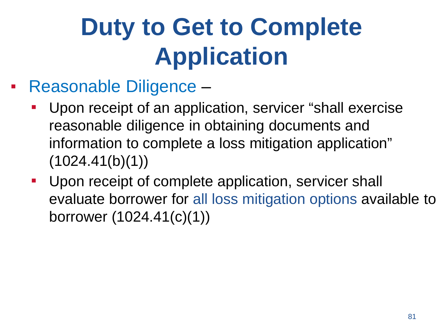# **Duty to Get to Complete Application**

- Reasonable Diligence
	- Upon receipt of an application, servicer "shall exercise" reasonable diligence in obtaining documents and information to complete a loss mitigation application"  $(1024.41(b)(1))$
	- Upon receipt of complete application, servicer shall evaluate borrower for all loss mitigation options available to borrower (1024.41(c)(1))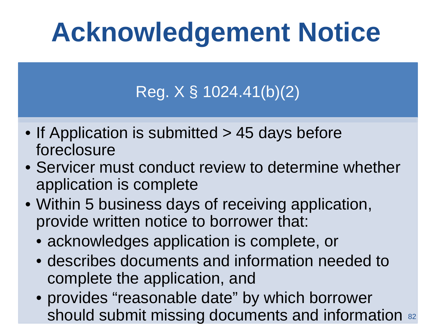# **Acknowledgement Notice**

### Reg. X § 1024.41(b)(2)

- If Application is submitted > 45 days before foreclosure
- Servicer must conduct review to determine whether application is complete
- Within 5 business days of receiving application, provide written notice to borrower that:
	- acknowledges application is complete, or
	- describes documents and information needed to complete the application, and
	- provides "reasonable date" by which borrower should submit missing documents and information 82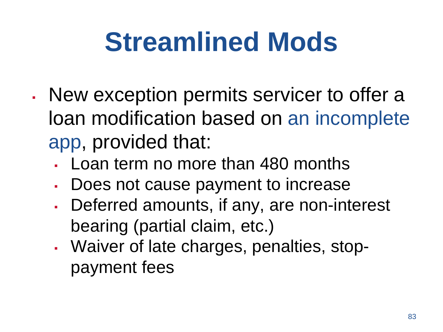# **Streamlined Mods**

- New exception permits servicer to offer a loan modification based on an incomplete app, provided that:
	- Loan term no more than 480 months
	- **Does not cause payment to increase**
	- **Deferred amounts, if any, are non-interest** bearing (partial claim, etc.)
	- Waiver of late charges, penalties, stoppayment fees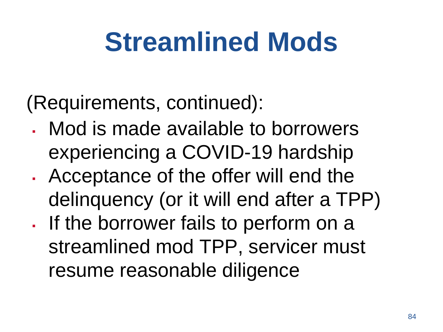# **Streamlined Mods**

(Requirements, continued):

- Mod is made available to borrowers experiencing a COVID-19 hardship
- . Acceptance of the offer will end the delinquency (or it will end after a TPP)
- If the borrower fails to perform on a streamlined mod TPP, servicer must resume reasonable diligence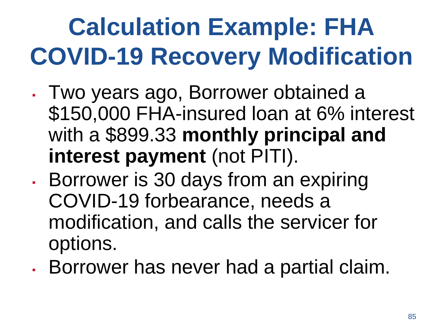# **Calculation Example: FHA COVID-19 Recovery Modification**

- Two years ago, Borrower obtained a \$150,000 FHA-insured loan at 6% interest with a \$899.33 **monthly principal and interest payment** (not PITI).
- **Borrower is 30 days from an expiring Brand** COVID-19 forbearance, needs a modification, and calls the servicer for options.
- **Borrower has never had a partial claim.**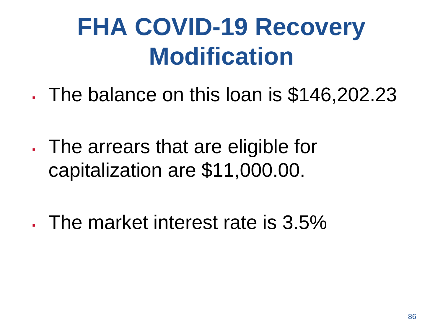- The balance on this loan is \$146,202.23
- . The arrears that are eligible for capitalization are \$11,000.00.
- $\cdot$  The market interest rate is 3.5%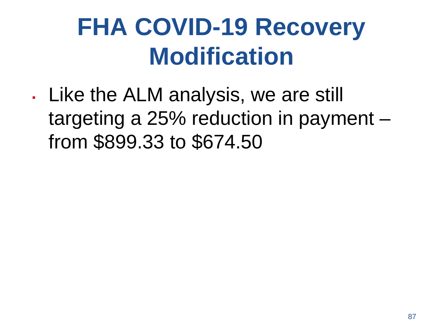. Like the ALM analysis, we are still targeting a 25% reduction in payment – from \$899.33 to \$674.50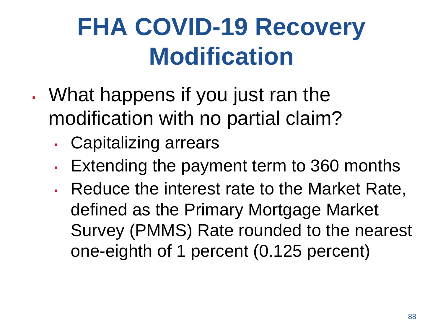- . What happens if you just ran the modification with no partial claim?
	- Capitalizing arrears
	- **Extending the payment term to 360 months**
	- Reduce the interest rate to the Market Rate, defined as the Primary Mortgage Market Survey (PMMS) Rate rounded to the nearest one-eighth of 1 percent (0.125 percent)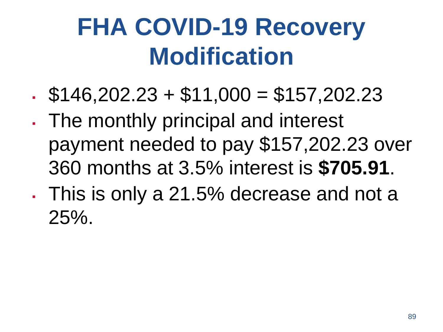- $\text{\textdegree}$  \$146,202.23 + \$11,000 = \$157,202.23
- . The monthly principal and interest payment needed to pay \$157,202.23 over 360 months at 3.5% interest is **\$705.91**.
- This is only a 21.5% decrease and not a 25%.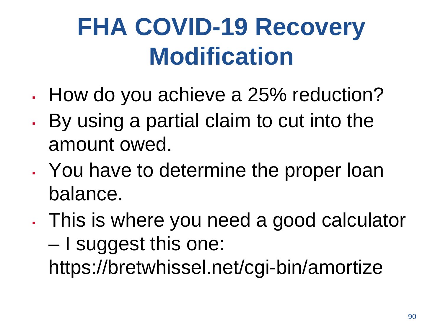- How do you achieve a 25% reduction?
- By using a partial claim to cut into the amount owed.
- . You have to determine the proper loan balance.
- . This is where you need a good calculator – I suggest this one: https://bretwhissel.net/cgi-bin/amortize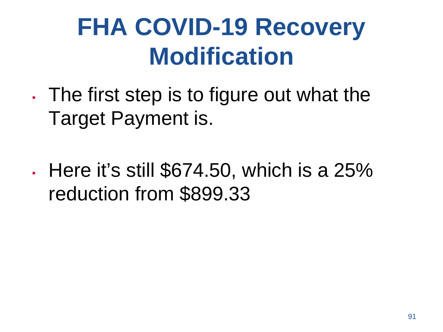- . The first step is to figure out what the Target Payment is.
- $\cdot$  Here it's still \$674.50, which is a 25% reduction from \$899.33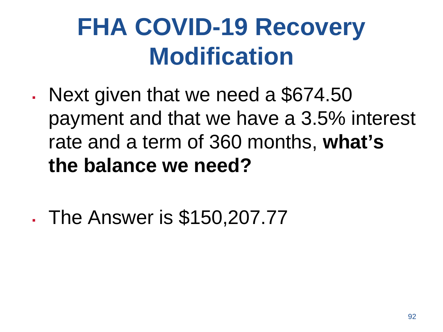- Next given that we need a \$674.50 payment and that we have a 3.5% interest rate and a term of 360 months, **what's the balance we need?**
- The Answer is \$150,207.77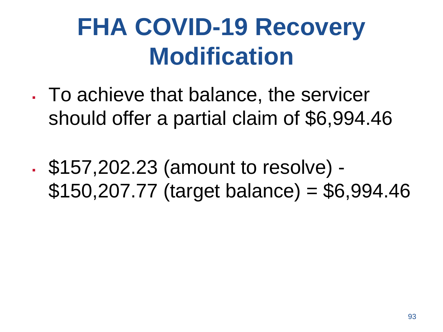- . To achieve that balance, the servicer should offer a partial claim of \$6,994.46
- \$157,202.23 (amount to resolve) \$150,207.77 (target balance) = \$6,994.46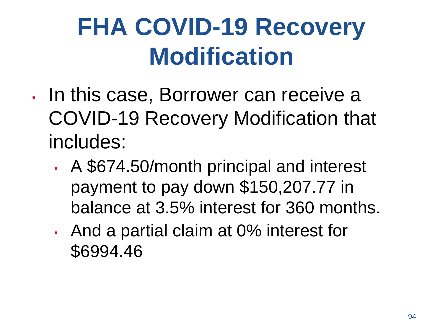- In this case, Borrower can receive a COVID-19 Recovery Modification that includes:
	- . A \$674.50/month principal and interest payment to pay down \$150,207.77 in balance at 3.5% interest for 360 months.
	- And a partial claim at 0% interest for \$6994.46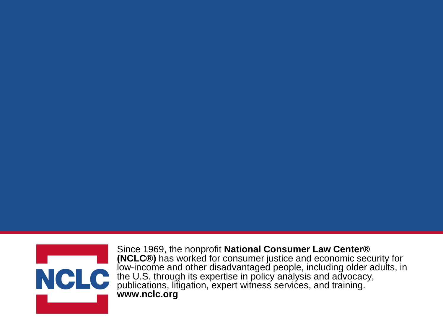

Since 1969, the nonprofit **National Consumer Law Center® (NCLC®)** has worked for consumer justice and economic security for low-income and other disadvantaged people, including older adults, in the U.S. through its expertise in policy analysis and advocacy, publications, litigation, expert witness services, and training. **www.nclc.org**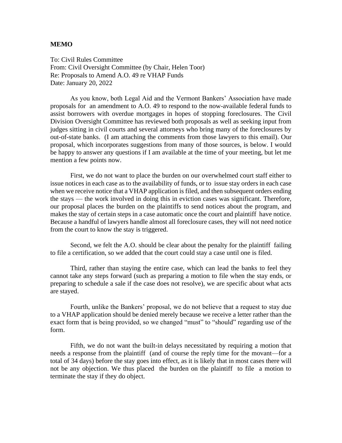#### **MEMO**

To: Civil Rules Committee From: Civil Oversight Committee (by Chair, Helen Toor) Re: Proposals to Amend A.O. 49 re VHAP Funds Date: January 20, 2022

As you know, both Legal Aid and the Vermont Bankers' Association have made proposals for an amendment to A.O. 49 to respond to the now-available federal funds to assist borrowers with overdue mortgages in hopes of stopping foreclosures. The Civil Division Oversight Committee has reviewed both proposals as well as seeking input from judges sitting in civil courts and several attorneys who bring many of the foreclosures by out-of-state banks. (I am attaching the comments from those lawyers to this email). Our proposal, which incorporates suggestions from many of those sources, is below. I would be happy to answer any questions if I am available at the time of your meeting, but let me mention a few points now.

First, we do not want to place the burden on our overwhelmed court staff either to issue notices in each case as to the availability of funds, or to issue stay orders in each case when we receive notice that a VHAP application is filed, and then subsequent orders ending the stays — the work involved in doing this in eviction cases was significant. Therefore, our proposal places the burden on the plaintiffs to send notices about the program, and makes the stay of certain steps in a case automatic once the court and plaintiff have notice. Because a handful of lawyers handle almost all foreclosure cases, they will not need notice from the court to know the stay is triggered.

Second, we felt the A.O. should be clear about the penalty for the plaintiff failing to file a certification, so we added that the court could stay a case until one is filed.

Third, rather than staying the entire case, which can lead the banks to feel they cannot take any steps forward (such as preparing a motion to file when the stay ends, or preparing to schedule a sale if the case does not resolve), we are specific about what acts are stayed.

Fourth, unlike the Bankers' proposal, we do not believe that a request to stay due to a VHAP application should be denied merely because we receive a letter rather than the exact form that is being provided, so we changed "must" to "should" regarding use of the form.

Fifth, we do not want the built-in delays necessitated by requiring a motion that needs a response from the plaintiff (and of course the reply time for the movant—for a total of 34 days) before the stay goes into effect, as it is likely that in most cases there will not be any objection. We thus placed the burden on the plaintiff to file a motion to terminate the stay if they do object.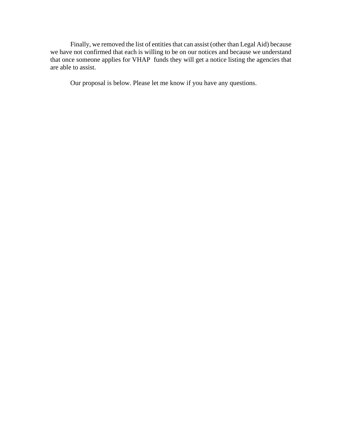Finally, we removed the list of entities that can assist (other than Legal Aid) because we have not confirmed that each is willing to be on our notices and because we understand that once someone applies for VHAP funds they will get a notice listing the agencies that are able to assist.

Our proposal is below. Please let me know if you have any questions.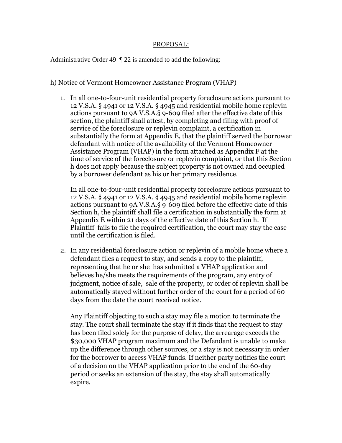#### PROPOSAL:

Administrative Order 49 ¶ 22 is amended to add the following:

#### h) Notice of Vermont Homeowner Assistance Program (VHAP)

1. In all one-to-four-unit residential property foreclosure actions pursuant to 12 V.S.A. § 4941 or 12 V.S.A. § 4945 and residential mobile home replevin actions pursuant to 9A V.S.A.§ 9-609 filed after the effective date of this section, the plaintiff shall attest, by completing and filing with proof of service of the foreclosure or replevin complaint, a certification in substantially the form at Appendix E, that the plaintiff served the borrower defendant with notice of the availability of the Vermont Homeowner Assistance Program (VHAP) in the form attached as Appendix F at the time of service of the foreclosure or replevin complaint, or that this Section h does not apply because the subject property is not owned and occupied by a borrower defendant as his or her primary residence.

In all one-to-four-unit residential property foreclosure actions pursuant to 12 V.S.A. § 4941 or 12 V.S.A. § 4945 and residential mobile home replevin actions pursuant to 9A V.S.A.§ 9-609 filed before the effective date of this Section h, the plaintiff shall file a certification in substantially the form at Appendix E within 21 days of the effective date of this Section h. If Plaintiff fails to file the required certification, the court may stay the case until the certification is filed.

2. In any residential foreclosure action or replevin of a mobile home where a defendant files a request to stay, and sends a copy to the plaintiff, representing that he or she has submitted a VHAP application and believes he/she meets the requirements of the program, any entry of judgment, notice of sale, sale of the property, or order of replevin shall be automatically stayed without further order of the court for a period of 60 days from the date the court received notice.

Any Plaintiff objecting to such a stay may file a motion to terminate the stay. The court shall terminate the stay if it finds that the request to stay has been filed solely for the purpose of delay, the arrearage exceeds the \$30,000 VHAP program maximum and the Defendant is unable to make up the difference through other sources, or a stay is not necessary in order for the borrower to access VHAP funds. If neither party notifies the court of a decision on the VHAP application prior to the end of the 60-day period or seeks an extension of the stay, the stay shall automatically expire.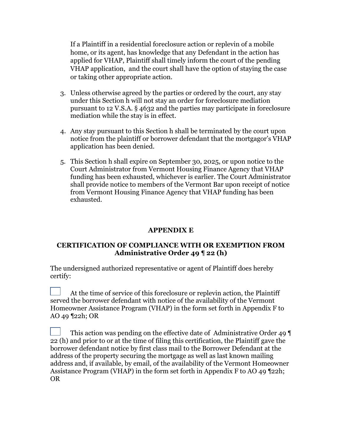If a Plaintiff in a residential foreclosure action or replevin of a mobile home, or its agent, has knowledge that any Defendant in the action has applied for VHAP, Plaintiff shall timely inform the court of the pending VHAP application, and the court shall have the option of staying the case or taking other appropriate action.

- 3. Unless otherwise agreed by the parties or ordered by the court, any stay under this Section h will not stay an order for foreclosure mediation pursuant to 12 V.S.A. § 4632 and the parties may participate in foreclosure mediation while the stay is in effect.
- 4. Any stay pursuant to this Section h shall be terminated by the court upon notice from the plaintiff or borrower defendant that the mortgagor's VHAP application has been denied.
- 5. This Section h shall expire on September 30, 2025, or upon notice to the Court Administrator from Vermont Housing Finance Agency that VHAP funding has been exhausted, whichever is earlier. The Court Administrator shall provide notice to members of the Vermont Bar upon receipt of notice from Vermont Housing Finance Agency that VHAP funding has been exhausted.

#### **APPENDIX E**

#### **CERTIFICATION OF COMPLIANCE WITH OR EXEMPTION FROM Administrative Order 49 ¶ 22 (h)**

The undersigned authorized representative or agent of Plaintiff does hereby certify:

At the time of service of this foreclosure or replevin action, the Plaintiff served the borrower defendant with notice of the availability of the Vermont Homeowner Assistance Program (VHAP) in the form set forth in Appendix F to AO 49 ¶22h; OR

This action was pending on the effective date of Administrative Order 49 ¶ 22 (h) and prior to or at the time of filing this certification, the Plaintiff gave the borrower defendant notice by first class mail to the Borrower Defendant at the address of the property securing the mortgage as well as last known mailing address and, if available, by email, of the availability of the Vermont Homeowner Assistance Program (VHAP) in the form set forth in Appendix F to AO 49 ¶22h; OR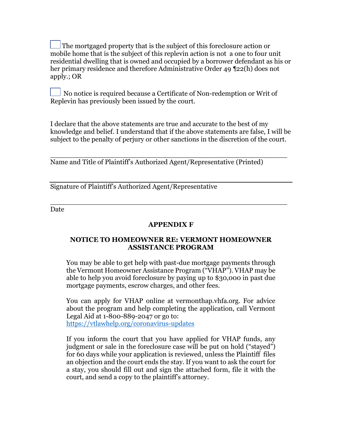The mortgaged property that is the subject of this foreclosure action or mobile home that is the subject of this replevin action is not a one to four unit residential dwelling that is owned and occupied by a borrower defendant as his or her primary residence and therefore Administrative Order 49 ¶22(h) does not apply.; OR

No notice is required because a Certificate of Non-redemption or Writ of Replevin has previously been issued by the court.

I declare that the above statements are true and accurate to the best of my knowledge and belief. I understand that if the above statements are false, I will be subject to the penalty of perjury or other sanctions in the discretion of the court.

\_\_\_\_\_\_\_\_\_\_\_\_\_\_\_\_\_\_\_\_\_\_\_\_\_\_\_\_\_\_\_\_\_\_\_\_\_\_\_\_\_\_\_\_\_\_\_\_\_\_\_\_\_\_\_

Name and Title of Plaintiff's Authorized Agent/Representative (Printed)

Signature of Plaintiff's Authorized Agent/Representative

Date

#### **APPENDIX F**

\_\_\_\_\_\_\_\_\_\_\_\_\_\_\_\_\_\_\_\_\_\_\_\_\_\_\_\_\_\_\_\_\_\_\_\_\_\_\_\_\_\_\_\_\_\_\_\_\_\_\_\_\_\_\_

#### **NOTICE TO HOMEOWNER RE: VERMONT HOMEOWNER ASSISTANCE PROGRAM**

You may be able to get help with past-due mortgage payments through the Vermont Homeowner Assistance Program ("VHAP"). VHAP may be able to help you avoid foreclosure by paying up to \$30,000 in past due mortgage payments, escrow charges, and other fees.

You can apply for VHAP online at vermonthap.vhfa.org. For advice about the program and help completing the application, call Vermont Legal Aid at 1-800-889-2047 or go to: <https://vtlawhelp.org/coronavirus-updates>

If you inform the court that you have applied for VHAP funds, any judgment or sale in the foreclosure case will be put on hold ("stayed") for 60 days while your application is reviewed, unless the Plaintiff files an objection and the court ends the stay. If you want to ask the court for a stay, you should fill out and sign the attached form, file it with the court, and send a copy to the plaintiff's attorney.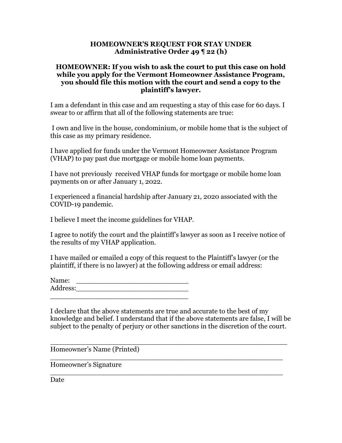#### **HOMEOWNER'S REQUEST FOR STAY UNDER Administrative Order 49 ¶ 22 (h)**

#### **HOMEOWNER: If you wish to ask the court to put this case on hold while you apply for the Vermont Homeowner Assistance Program, you should file this motion with the court and send a copy to the plaintiff's lawyer.**

I am a defendant in this case and am requesting a stay of this case for 60 days. I swear to or affirm that all of the following statements are true:

I own and live in the house, condominium, or mobile home that is the subject of this case as my primary residence.

I have applied for funds under the Vermont Homeowner Assistance Program (VHAP) to pay past due mortgage or mobile home loan payments.

I have not previously received VHAP funds for mortgage or mobile home loan payments on or after January 1, 2022.

I experienced a financial hardship after January 21, 2020 associated with the COVID-19 pandemic.

I believe I meet the income guidelines for VHAP.

I agree to notify the court and the plaintiff's lawyer as soon as I receive notice of the results of my VHAP application.

I have mailed or emailed a copy of this request to the Plaintiff's lawyer (or the plaintiff, if there is no lawyer) at the following address or email address:

| Name:    |  |  |  |
|----------|--|--|--|
| Address: |  |  |  |
|          |  |  |  |

I declare that the above statements are true and accurate to the best of my knowledge and belief. I understand that if the above statements are false, I will be subject to the penalty of perjury or other sanctions in the discretion of the court.

\_\_\_\_\_\_\_\_\_\_\_\_\_\_\_\_\_\_\_\_\_\_\_\_\_\_\_\_\_\_\_\_\_\_\_\_\_\_\_\_\_\_\_\_\_\_\_\_\_\_\_\_\_\_\_

\_\_\_\_\_\_\_\_\_\_\_\_\_\_\_\_\_\_\_\_\_\_\_\_\_\_\_\_\_\_\_\_\_\_\_\_\_\_\_\_\_\_\_\_\_\_\_\_\_\_\_\_\_\_

\_\_\_\_\_\_\_\_\_\_\_\_\_\_\_\_\_\_\_\_\_\_\_\_\_\_\_\_\_\_\_\_\_\_\_\_\_\_\_\_\_\_\_\_\_\_\_\_\_\_\_\_\_\_

Homeowner's Name (Printed)

Homeowner's Signature

Date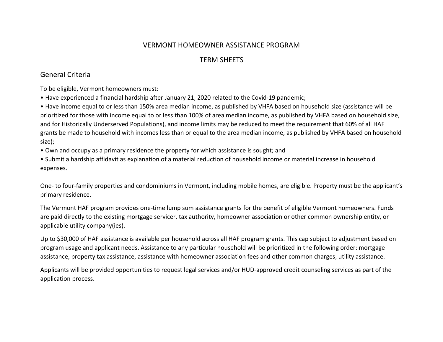#### VERMONT HOMEOWNER ASSISTANCE PROGRAM

#### TERM SHEETS

#### General Criteria

To be eligible, Vermont homeowners must:

• Have experienced a financial hardship after January 21, 2020 related to the Covid-19 pandemic;

• Have income equal to or less than 150% area median income, as published by VHFA based on household size (assistance will be prioritized for those with income equal to or less than 100% of area median income, as published by VHFA based on household size, and for Historically Underserved Populations), and income limits may be reduced to meet the requirement that 60% of all HAF grants be made to household with incomes less than or equal to the area median income, as published by VHFA based on household size);

• Own and occupy as a primary residence the property for which assistance is sought; and

• Submit a hardship affidavit as explanation of a material reduction of household income or material increase in household expenses.

One- to four-family properties and condominiums in Vermont, including mobile homes, are eligible. Property must be the applicant's primary residence.

The Vermont HAF program provides one-time lump sum assistance grants for the benefit of eligible Vermont homeowners. Funds are paid directly to the existing mortgage servicer, tax authority, homeowner association or other common ownership entity, or applicable utility company(ies).

Up to \$30,000 of HAF assistance is available per household across all HAF program grants. This cap subject to adjustment based on program usage and applicant needs. Assistance to any particular household will be prioritized in the following order: mortgage assistance, property tax assistance, assistance with homeowner association fees and other common charges, utility assistance.

Applicants will be provided opportunities to request legal services and/or HUD-approved credit counseling services as part of the application process.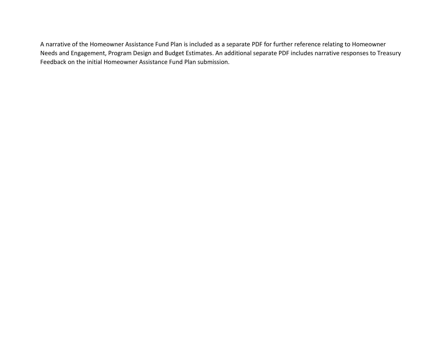A narrative of the Homeowner Assistance Fund Plan is included as a separate PDF for further reference relating to Homeowner Needs and Engagement, Program Design and Budget Estimates. An additional separate PDF includes narrative responses to Treasury Feedback on the initial Homeowner Assistance Fund Plan submission.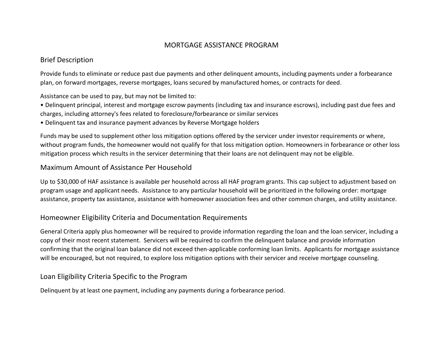#### MORTGAGE ASSISTANCE PROGRAM

#### Brief Description

Provide funds to eliminate or reduce past due payments and other delinquent amounts, including payments under a forbearance plan, on forward mortgages, reverse mortgages, loans secured by manufactured homes, or contracts for deed.

Assistance can be used to pay, but may not be limited to:

• Delinquent principal, interest and mortgage escrow payments (including tax and insurance escrows), including past due fees and charges, including attorney's fees related to foreclosure/forbearance or similar services

• Delinquent tax and insurance payment advances by Reverse Mortgage holders

Funds may be used to supplement other loss mitigation options offered by the servicer under investor requirements or where, without program funds, the homeowner would not qualify for that loss mitigation option. Homeowners in forbearance or other loss mitigation process which results in the servicer determining that their loans are not delinquent may not be eligible.

#### Maximum Amount of Assistance Per Household

Up to \$30,000 of HAF assistance is available per household across all HAF program grants. This cap subject to adjustment based on program usage and applicant needs. Assistance to any particular household will be prioritized in the following order: mortgage assistance, property tax assistance, assistance with homeowner association fees and other common charges, and utility assistance.

#### Homeowner Eligibility Criteria and Documentation Requirements

General Criteria apply plus homeowner will be required to provide information regarding the loan and the loan servicer, including a copy of their most recent statement. Servicers will be required to confirm the delinquent balance and provide information confirming that the original loan balance did not exceed then-applicable conforming loan limits. Applicants for mortgage assistance will be encouraged, but not required, to explore loss mitigation options with their servicer and receive mortgage counseling.

#### Loan Eligibility Criteria Specific to the Program

Delinquent by at least one payment, including any payments during a forbearance period.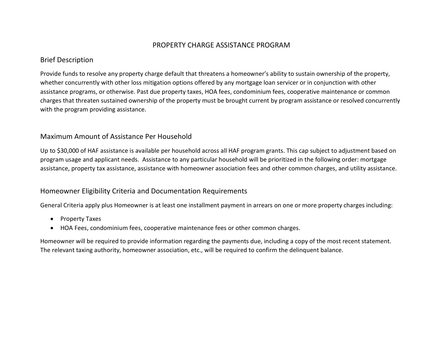#### PROPERTY CHARGE ASSISTANCE PROGRAM

#### Brief Description

Provide funds to resolve any property charge default that threatens a homeowner's ability to sustain ownership of the property, whether concurrently with other loss mitigation options offered by any mortgage loan servicer or in conjunction with other assistance programs, or otherwise. Past due property taxes, HOA fees, condominium fees, cooperative maintenance or common charges that threaten sustained ownership of the property must be brought current by program assistance or resolved concurrently with the program providing assistance.

#### Maximum Amount of Assistance Per Household

Up to \$30,000 of HAF assistance is available per household across all HAF program grants. This cap subject to adjustment based on program usage and applicant needs. Assistance to any particular household will be prioritized in the following order: mortgage assistance, property tax assistance, assistance with homeowner association fees and other common charges, and utility assistance.

#### Homeowner Eligibility Criteria and Documentation Requirements

General Criteria apply plus Homeowner is at least one installment payment in arrears on one or more property charges including:

- Property Taxes
- HOA Fees, condominium fees, cooperative maintenance fees or other common charges.

Homeowner will be required to provide information regarding the payments due, including a copy of the most recent statement. The relevant taxing authority, homeowner association, etc., will be required to confirm the delinquent balance.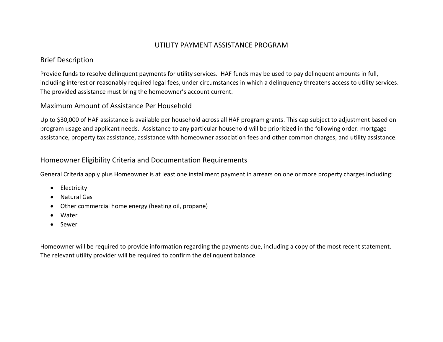#### UTILITY PAYMENT ASSISTANCE PROGRAM

#### Brief Description

Provide funds to resolve delinquent payments for utility services. HAF funds may be used to pay delinquent amounts in full, including interest or reasonably required legal fees, under circumstances in which a delinquency threatens access to utility services. The provided assistance must bring the homeowner's account current.

#### Maximum Amount of Assistance Per Household

Up to \$30,000 of HAF assistance is available per household across all HAF program grants. This cap subject to adjustment based on program usage and applicant needs. Assistance to any particular household will be prioritized in the following order: mortgage assistance, property tax assistance, assistance with homeowner association fees and other common charges, and utility assistance.

#### Homeowner Eligibility Criteria and Documentation Requirements

General Criteria apply plus Homeowner is at least one installment payment in arrears on one or more property charges including:

- Electricity
- Natural Gas
- Other commercial home energy (heating oil, propane)
- Water
- Sewer

Homeowner will be required to provide information regarding the payments due, including a copy of the most recent statement. The relevant utility provider will be required to confirm the delinquent balance.